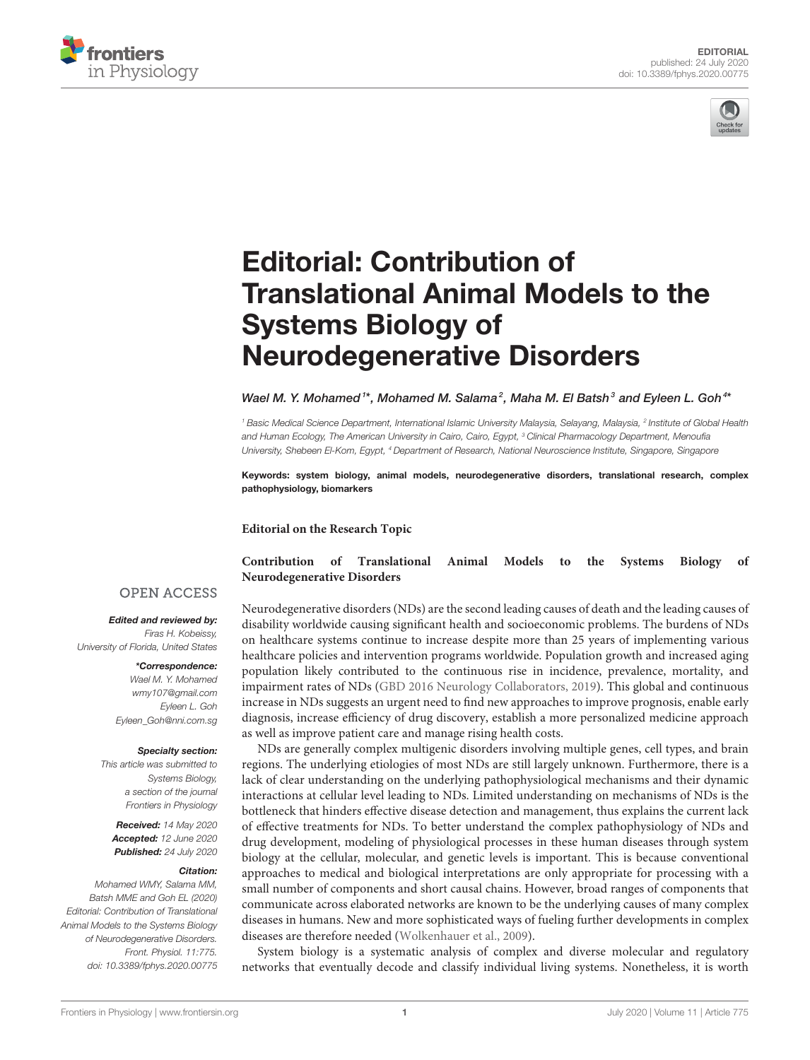



# Editorial: Contribution of [Translational Animal Models to the](https://www.frontiersin.org/articles/10.3389/fphys.2020.00775/full) Systems Biology of Neurodegenerative Disorders

[Wael M. Y. Mohamed](http://loop.frontiersin.org/people/173126/overview)  $^{\text{1}*}$ , [Mohamed M. Salama](http://loop.frontiersin.org/people/131601/overview) $^{\text{2}}$ , Maha M. El Batsh $^{\text{3}}$  and [Eyleen L. Goh](http://loop.frontiersin.org/people/213252/overview) $^{\text{4*}}$ 

*<sup>1</sup> Basic Medical Science Department, International Islamic University Malaysia, Selayang, Malaysia, <sup>2</sup> Institute of Global Health and Human Ecology, The American University in Cairo, Cairo, Egypt, <sup>3</sup> Clinical Pharmacology Department, Menoufia University, Shebeen El-Kom, Egypt, <sup>4</sup> Department of Research, National Neuroscience Institute, Singapore, Singapore*

Keywords: system biology, animal models, neurodegenerative disorders, translational research, complex pathophysiology, biomarkers

**Editorial on the Research Topic**

### **[Contribution of Translational Animal Models to the Systems Biology of](https://www.frontiersin.org/research-topics/7825/contribution-of-translational-animal-models-to-the-systems-biology-of-neurodegenerative-disorders) Neurodegenerative Disorders**

### Neurodegenerative disorders (NDs) are the second leading causes of death and the leading causes of disability worldwide causing significant health and socioeconomic problems. The burdens of NDs on healthcare systems continue to increase despite more than 25 years of implementing various healthcare policies and intervention programs worldwide. Population growth and increased aging population likely contributed to the continuous rise in incidence, prevalence, mortality, and impairment rates of NDs [\(GBD 2016 Neurology Collaborators, 2019\)](#page-2-0). This global and continuous increase in NDs suggests an urgent need to find new approaches to improve prognosis, enable early diagnosis, increase efficiency of drug discovery, establish a more personalized medicine approach as well as improve patient care and manage rising health costs.

NDs are generally complex multigenic disorders involving multiple genes, cell types, and brain regions. The underlying etiologies of most NDs are still largely unknown. Furthermore, there is a lack of clear understanding on the underlying pathophysiological mechanisms and their dynamic interactions at cellular level leading to NDs. Limited understanding on mechanisms of NDs is the bottleneck that hinders effective disease detection and management, thus explains the current lack of effective treatments for NDs. To better understand the complex pathophysiology of NDs and drug development, modeling of physiological processes in these human diseases through system biology at the cellular, molecular, and genetic levels is important. This is because conventional approaches to medical and biological interpretations are only appropriate for processing with a small number of components and short causal chains. However, broad ranges of components that communicate across elaborated networks are known to be the underlying causes of many complex diseases in humans. New and more sophisticated ways of fueling further developments in complex diseases are therefore needed [\(Wolkenhauer et al., 2009\)](#page-2-1).

System biology is a systematic analysis of complex and diverse molecular and regulatory networks that eventually decode and classify individual living systems. Nonetheless, it is worth

### **OPEN ACCESS**

Edited and reviewed by: *Firas H. Kobeissy,*

*University of Florida, United States*

\*Correspondence: *Wael M. Y. Mohamed [wmy107@gmail.com](mailto:wmy107@gmail.com) Eyleen L. Goh [Eyleen\\_Goh@nni.com.sg](mailto:Eyleen_Goh@nni.com.sg)*

#### Specialty section:

*This article was submitted to Systems Biology, a section of the journal Frontiers in Physiology*

Received: *14 May 2020* Accepted: *12 June 2020* Published: *24 July 2020*

#### Citation:

*Mohamed WMY, Salama MM, Batsh MME and Goh EL (2020) Editorial: Contribution of Translational Animal Models to the Systems Biology of Neurodegenerative Disorders. Front. Physiol. 11:775. doi: [10.3389/fphys.2020.00775](https://doi.org/10.3389/fphys.2020.00775)*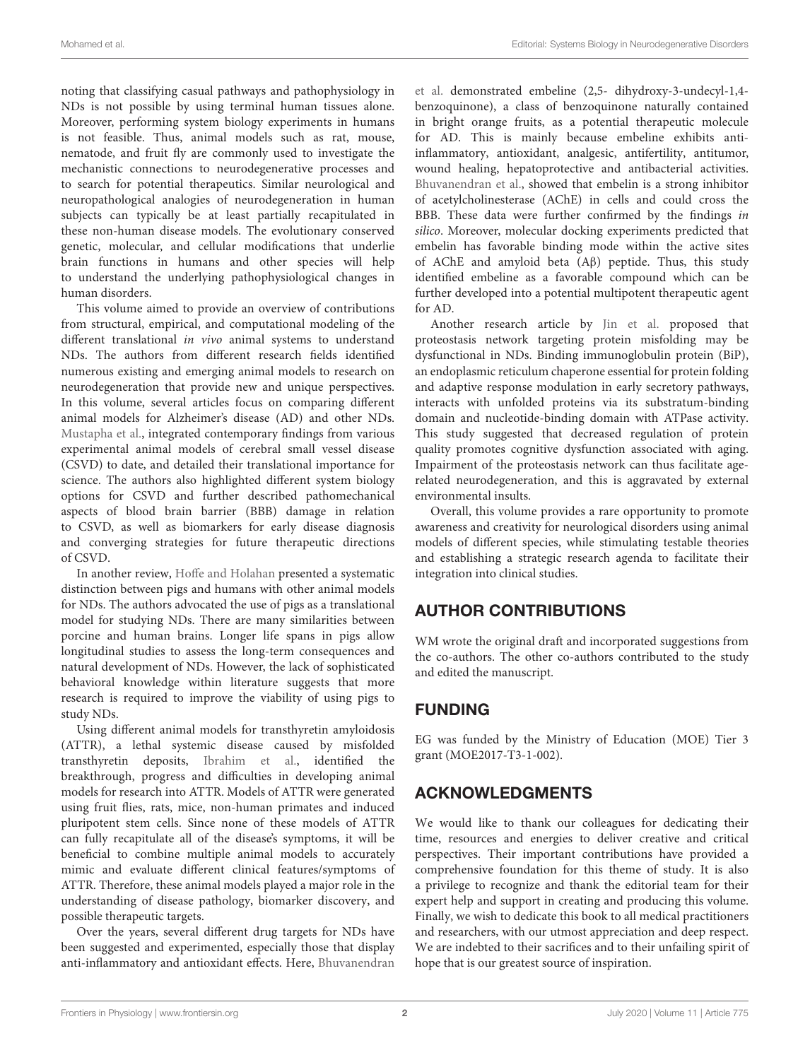noting that classifying casual pathways and pathophysiology in NDs is not possible by using terminal human tissues alone. Moreover, performing system biology experiments in humans is not feasible. Thus, animal models such as rat, mouse, nematode, and fruit fly are commonly used to investigate the mechanistic connections to neurodegenerative processes and to search for potential therapeutics. Similar neurological and neuropathological analogies of neurodegeneration in human subjects can typically be at least partially recapitulated in these non-human disease models. The evolutionary conserved genetic, molecular, and cellular modifications that underlie brain functions in humans and other species will help to understand the underlying pathophysiological changes in human disorders.

This volume aimed to provide an overview of contributions from structural, empirical, and computational modeling of the different translational in vivo animal systems to understand NDs. The authors from different research fields identified numerous existing and emerging animal models to research on neurodegeneration that provide new and unique perspectives. In this volume, several articles focus on comparing different animal models for Alzheimer's disease (AD) and other NDs. [Mustapha et al.,](https://doi.org/10.3389/fphys.2019.01317) integrated contemporary findings from various experimental animal models of cerebral small vessel disease (CSVD) to date, and detailed their translational importance for science. The authors also highlighted different system biology options for CSVD and further described pathomechanical aspects of blood brain barrier (BBB) damage in relation to CSVD, as well as biomarkers for early disease diagnosis and converging strategies for future therapeutic directions of CSVD.

In another review, [Hoffe and Holahan](https://doi.org/10.3389/fphys.2019.00838) presented a systematic distinction between pigs and humans with other animal models for NDs. The authors advocated the use of pigs as a translational model for studying NDs. There are many similarities between porcine and human brains. Longer life spans in pigs allow longitudinal studies to assess the long-term consequences and natural development of NDs. However, the lack of sophisticated behavioral knowledge within literature suggests that more research is required to improve the viability of using pigs to study NDs.

Using different animal models for transthyretin amyloidosis (ATTR), a lethal systemic disease caused by misfolded transthyretin deposits, [Ibrahim et al.,](https://doi.org/10.3389/fphys.2019.00338) identified the breakthrough, progress and difficulties in developing animal models for research into ATTR. Models of ATTR were generated using fruit flies, rats, mice, non-human primates and induced pluripotent stem cells. Since none of these models of ATTR can fully recapitulate all of the disease's symptoms, it will be beneficial to combine multiple animal models to accurately mimic and evaluate different clinical features/symptoms of ATTR. Therefore, these animal models played a major role in the understanding of disease pathology, biomarker discovery, and possible therapeutic targets.

Over the years, several different drug targets for NDs have been suggested and experimented, especially those that display anti-inflammatory and antioxidant effects. Here, Bhuvanendran et al. demonstrated embeline (2,5- dihydroxy-3-undecyl-1,4 benzoquinone), a class of benzoquinone naturally contained in bright orange fruits, as a potential therapeutic molecule for AD. This is mainly because embeline exhibits antiinflammatory, antioxidant, analgesic, antifertility, antitumor, wound healing, hepatoprotective and antibacterial activities. [Bhuvanendran et al.,](https://doi.org/10.3389/fnins.2019.00495) showed that embelin is a strong inhibitor of acetylcholinesterase (AChE) in cells and could cross the BBB. These data were further confirmed by the findings in silico. Moreover, molecular docking experiments predicted that embelin has favorable binding mode within the active sites of AChE and amyloid beta (Aβ) peptide. Thus, this study identified embeline as a favorable compound which can be further developed into a potential multipotent therapeutic agent for AD.

Another research article by [Jin et al.](https://doi.org/10.3389/fnins.2018.00753) proposed that proteostasis network targeting protein misfolding may be dysfunctional in NDs. Binding immunoglobulin protein (BiP), an endoplasmic reticulum chaperone essential for protein folding and adaptive response modulation in early secretory pathways, interacts with unfolded proteins via its substratum-binding domain and nucleotide-binding domain with ATPase activity. This study suggested that decreased regulation of protein quality promotes cognitive dysfunction associated with aging. Impairment of the proteostasis network can thus facilitate agerelated neurodegeneration, and this is aggravated by external environmental insults.

Overall, this volume provides a rare opportunity to promote awareness and creativity for neurological disorders using animal models of different species, while stimulating testable theories and establishing a strategic research agenda to facilitate their integration into clinical studies.

# AUTHOR CONTRIBUTIONS

WM wrote the original draft and incorporated suggestions from the co-authors. The other co-authors contributed to the study and edited the manuscript.

## FUNDING

EG was funded by the Ministry of Education (MOE) Tier 3 grant (MOE2017-T3-1-002).

# ACKNOWLEDGMENTS

We would like to thank our colleagues for dedicating their time, resources and energies to deliver creative and critical perspectives. Their important contributions have provided a comprehensive foundation for this theme of study. It is also a privilege to recognize and thank the editorial team for their expert help and support in creating and producing this volume. Finally, we wish to dedicate this book to all medical practitioners and researchers, with our utmost appreciation and deep respect. We are indebted to their sacrifices and to their unfailing spirit of hope that is our greatest source of inspiration.